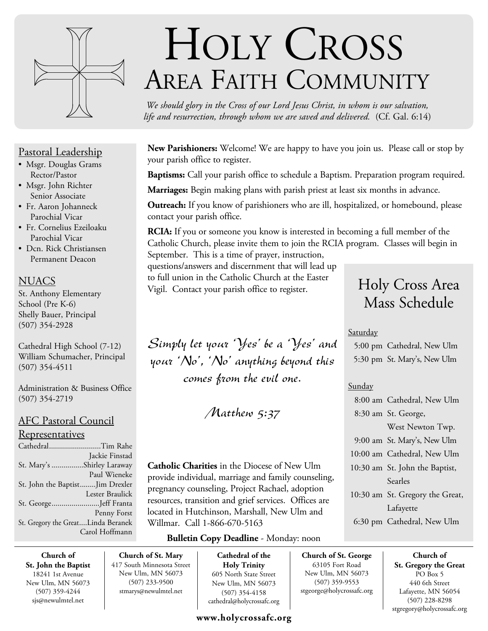

## Pastoral Leadership

- Msgr. Douglas Grams Rector/Pastor
- Msgr. John Richter Senior Associate
- Fr. Aaron Johanneck Parochial Vicar
- Fr. Cornelius Ezeiloaku Parochial Vicar
- Dcn. Rick Christiansen Permanent Deacon

## **NUACS**

St. Anthony Elementary School (Pre K-6) Shelly Bauer, Principal (507) 354-2928

Cathedral High School (7-12) William Schumacher, Principal (507) 354-4511

Administration & Business Office (507) 354-2719

## AFC Pastoral Council

## Representatives

| CathedralTim Rahe                  |                 |
|------------------------------------|-----------------|
|                                    | Jackie Finstad  |
| St. Mary's Shirley Laraway         |                 |
|                                    | Paul Wieneke    |
| St. John the BaptistJim Drexler    |                 |
|                                    | Lester Braulick |
| St. GeorgeJeff Franta              |                 |
|                                    | Penny Forst     |
| St. Gregory the GreatLinda Beranek |                 |
|                                    | Carol Hoffmann  |

# HOLY CROSS AREA FAITH COMMUNITY

*We should glory in the Cross of our Lord Jesus Christ, in whom is our salvation, life and resurrection, through whom we are saved and delivered.* (Cf. Gal. 6:14)

**New Parishioners:** Welcome! We are happy to have you join us. Please call or stop by your parish office to register.

**Baptisms:** Call your parish office to schedule a Baptism. Preparation program required.

**Marriages:** Begin making plans with parish priest at least six months in advance.

**Outreach:** If you know of parishioners who are ill, hospitalized, or homebound, please contact your parish office.

**RCIA:** If you or someone you know is interested in becoming a full member of the Catholic Church, please invite them to join the RCIA program. Classes will begin in September. This is a time of prayer, instruction,

questions/answers and discernment that will lead up to full union in the Catholic Church at the Easter Vigil. Contact your parish office to register.

Simply let your 'Yes' be a 'Yes' and your 'No', 'No' anything beyond this comes from the evil one.

Matthew 5:37

**Catholic Charities** in the Diocese of New Ulm provide individual, marriage and family counseling, pregnancy counseling, Project Rachael, adoption resources, transition and grief services. Offices are located in Hutchinson, Marshall, New Ulm and Willmar. Call 1-866-670-5163

## **Bulletin Copy Deadline** - Monday: noon

**Church of St. John the Baptist** 18241 1st Avenue New Ulm, MN 56073 (507) 359-4244 sjs@newulmtel.net

**Church of St. Mary** 417 South Minnesota Street New Ulm, MN 56073 (507) 233-9500 stmarys@newulmtel.net

**Cathedral of the Holy Trinity** 605 North State Street New Ulm, MN 56073 (507) 354-4158 cathedral@holycrossafc.org

## **www.holycrossafc.org**

# Holy Cross Area Mass Schedule

## **Saturday**

 5:00 pm Cathedral, New Ulm 5:30 pm St. Mary's, New Ulm

## Sunday

**Church of St. George** 63105 Fort Road New Ulm, MN 56073 (507) 359-9553 stgeorge@holycrossafc.org

| 8:00 am Cathedral, New Ulm      |
|---------------------------------|
| 8:30 am St. George,             |
| West Newton Twp.                |
| 9:00 am St. Mary's, New Ulm     |
| 10:00 am Cathedral, New Ulm     |
| 10:30 am St. John the Baptist,  |
| Searles                         |
| 10:30 am St. Gregory the Great, |
| Lafayette                       |
| 6:30 pm Cathedral, New Ulm      |

**Church of St. Gregory the Great**  PO Box 5 440 6th Street Lafayette, MN 56054 (507) 228-8298 stgregory@holycrossafc.org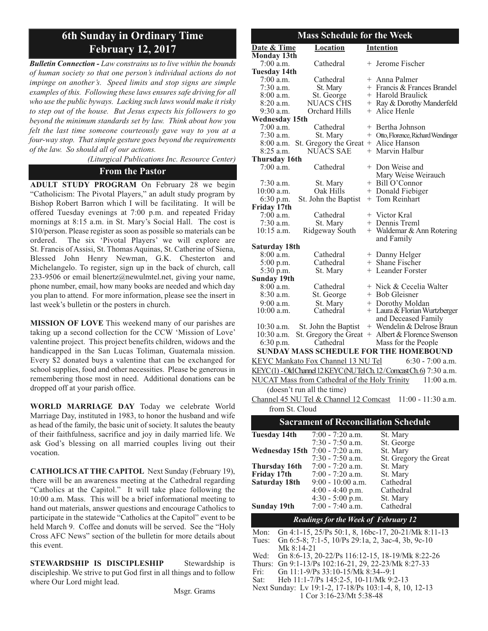## **6th Sunday in Ordinary Time February 12, 2017**

*Bulletin Connection - Law constrains us to live within the bounds of human society so that one person's individual actions do not impinge on another's. Speed limits and stop signs are simple examples of this. Following these laws ensures safe driving for all who use the public byways. Lacking such laws would make it risky to step out of the house. But Jesus expects his followers to go beyond the minimum standards set by law. Think about how you felt the last time someone courteously gave way to you at a four-way stop. That simple gesture goes beyond the requirements of the law. So should all of our actions.*

*(Liturgical Publications Inc. Resource Center)*

## **From the Pastor**

**ADULT STUDY PROGRAM** On February 28 we begin "Catholicism: The Pivotal Players," an adult study program by Bishop Robert Barron which I will be facilitating. It will be offered Tuesday evenings at 7:00 p.m. and repeated Friday mornings at 8:15 a.m. in St. Mary's Social Hall. The cost is \$10/person. Please register as soon as possible so materials can be ordered. The six 'Pivotal Players' we will explore are St. Francis of Assisi, St. Thomas Aquinas, St. Catherine of Siena, Blessed John Henry Newman, G.K. Chesterton and Michelangelo. To register, sign up in the back of church, call 233-9506 or email blenertz@newulmtel.net, giving your name, phone number, email, how many books are needed and which day you plan to attend. For more information, please see the insert in last week's bulletin or the posters in church.

**MISSION OF LOVE** This weekend many of our parishes are taking up a second collection for the CCW 'Mission of Love' valentine project. This project benefits children, widows and the handicapped in the San Lucas Toliman, Guatemala mission. Every \$2 donated buys a valentine that can be exchanged for school supplies, food and other necessities. Please be generous in remembering those most in need. Additional donations can be dropped off at your parish office.

**WORLD MARRIAGE DAY** Today we celebrate World Marriage Day, instituted in 1983, to honor the husband and wife as head of the family, the basic unit of society. It salutes the beauty of their faithfulness, sacrifice and joy in daily married life. We ask God's blessing on all married couples living out their vocation.

**CATHOLICS AT THE CAPITOL** Next Sunday (February 19), there will be an awareness meeting at the Cathedral regarding "Catholics at the Capitol." It will take place following the 10:00 a.m. Mass. This will be a brief informational meeting to hand out materials, answer questions and encourage Catholics to participate in the statewide "Catholics at the Capitol" event to be held March 9. Coffee and donuts will be served. See the "Holy Cross AFC News" section of the bulletin for more details about this event.

**STEWARDSHIP IS DISCIPLESHIP** Stewardship is discipleship. We strive to put God first in all things and to follow where Our Lord might lead.

Msgr. Grams

|                                    | <b>Mass Schedule for the Week</b>             |                                                                      |
|------------------------------------|-----------------------------------------------|----------------------------------------------------------------------|
| Date & Time                        | Location                                      | Intention                                                            |
| <b>Monday 13th</b>                 |                                               |                                                                      |
| $7:00$ a.m.<br><b>Tuesday 14th</b> | Cathedral                                     | + Jerome Fischer                                                     |
| 7:00 a.m.                          | Cathedral                                     | + Anna Palmer                                                        |
| $7:30$ a.m.                        | St. Mary                                      | + Francis & Frances Brandel                                          |
| 8:00 a.m.                          | St. George                                    | + Harold Braulick                                                    |
| 8:20 a.m.                          | <b>NUACS CHS</b>                              | + Ray & Dorothy Manderfeld                                           |
| 9:30 a.m.                          | Orchard Hills                                 | + Alice Henle                                                        |
| <b>Wednesday 15th</b>              |                                               |                                                                      |
| $7:00$ a.m.                        | Cathedral                                     | + Bertha Johnson                                                     |
| $7:30$ a.m.                        | St. Mary                                      | + Otto, Florence, Richard Wendinger                                  |
| 8:00 a.m.                          | St. Gregory the Great + Alice Hanson          |                                                                      |
| $8:25$ a.m.                        | <b>NUACS SAE</b>                              | + Marvin Halbur                                                      |
| <b>Thursday 16th</b>               |                                               |                                                                      |
| 7:00 a.m.                          | Cathedral                                     | + Don Weise and                                                      |
|                                    |                                               | Mary Weise Weirauch                                                  |
| $7:30$ a.m.                        | St. Mary                                      | + Bill O'Connor                                                      |
| $10:00$ a.m.                       | Oak Hills                                     | + Donald Fiebiger                                                    |
| 6:30 p.m.                          | St. John the Baptist                          | + Tom Reinhart                                                       |
| Friday 17th                        |                                               |                                                                      |
| $7:00$ a.m.                        | Cathedral                                     | + Victor Kral                                                        |
| $7:30$ a.m.                        | St. Mary                                      | + Dennis Treml                                                       |
| $10:15$ a.m.                       | Ridgeway South                                | + Waldemar & Ann Rotering                                            |
|                                    |                                               | and Family                                                           |
| Saturday 18th                      |                                               |                                                                      |
| $8:00$ a.m.                        | Cathedral                                     | + Danny Helger                                                       |
| 5:00 p.m.                          | Cathedral                                     | + Shane Fischer                                                      |
| 5:30 p.m.                          | St. Mary                                      | + Leander Forster                                                    |
| <b>Sunday 19th</b>                 |                                               |                                                                      |
| 8:00 a.m.                          | Cathedral                                     | + Nick & Cecelia Walter                                              |
| 8:30 a.m.                          | St. George                                    | + Bob Gleisner                                                       |
| $9:00$ a.m.                        | St. Mary                                      | + Dorothy Moldan                                                     |
| $10:00$ a.m.                       | Cathedral                                     | + Laura & Florian Wurtzberger                                        |
|                                    |                                               | and Deceased Family                                                  |
| 10:30 a.m.                         | St. John the Baptist                          | + Wendelin & Delrose Braun                                           |
| 10:30 a.m.                         |                                               | St. Gregory the Great $+$ Albert & Florence Swenson                  |
| 6:30 p.m.                          | Cathedral                                     | Mass for the People                                                  |
|                                    |                                               | <b>SUNDAY MASS SCHEDULE FOR THE HOMEBOUND</b>                        |
|                                    | KEYC Mankato Fox Channel 13 NU Tel            | $6:30 - 7:00$ a.m.                                                   |
|                                    |                                               | KEYC(1) - Old Channel 12 KEYC (NUTel Ch. 12/Comcast Ch. 6) 7:30 a.m. |
|                                    | NUCAT Mass from Cathedral of the Holy Trinity | $11:00$ a.m.                                                         |
|                                    |                                               |                                                                      |
|                                    | (doesn't run all the time)                    |                                                                      |
|                                    | Channel 45 NU Tel & Channel 12 Comcast        | $11:00 - 11:30$ a.m.                                                 |
| from St. Cloud                     |                                               |                                                                      |
|                                    |                                               | <b>Sacrament of Reconciliation Schedule</b>                          |
| <b>Tuesday 14th</b>                | 7:00 - 7:20 a.m.                              | St. Mary                                                             |
|                                    | $7:30 - 7:50$ a.m.                            | St. George                                                           |
| <b>Wednesday 15th</b>              | $7:00 - 7:20$ a.m.                            | St. Mary                                                             |
|                                    | $7:30 - 7:50$ a.m.                            | St. Gregory the Great                                                |
|                                    |                                               |                                                                      |
| Thursday 16th                      | $7:00 - 7:20$ a.m.                            | St. Mary                                                             |
| Friday 17th                        | 7:00 - 7:20 a.m.                              | St. Mary                                                             |
| Saturday 18th                      | $9:00 - 10:00$ a.m.                           | Cathedral                                                            |
|                                    | $4:00 - 4:40$ p.m.<br>$4:30 - 5:00$ p.m.      | Cathedral<br>St. Mary                                                |
| <b>Sunday 19th</b>                 | $7:00 - 7:40$ a.m.                            | Cathedral                                                            |
|                                    |                                               |                                                                      |
|                                    | <b>Readings for the Week of February 12</b>   |                                                                      |
| Mon:                               |                                               | Gn 4:1-15, 25/Ps 50:1, 8, 16bc-17, 20-21/Mk 8:11-13                  |
| Tues:                              |                                               | Gn 6:5-8; 7:1-5, 10/Ps 29:1a, 2, 3ac-4, 3b, 9c-10                    |
| Mk 8:14-21                         |                                               |                                                                      |
| Wed:                               |                                               | Gn 8:6-13, 20-22/Ps 116:12-15, 18-19/Mk 8:22-26                      |
| Thurs:                             |                                               | Gn 9:1-13/Ps 102:16-21, 29, 22-23/Mk 8:27-33                         |
|                                    |                                               |                                                                      |
|                                    | Gn 11:1-9/Ps 33:10-15/Mk 8:34--9:1            |                                                                      |
| Fri:<br>Sat:                       | Heb 11:1-7/Ps 145:2-5, 10-11/Mk 9:2-13        | Next Sunday: Lv 19:1-2, 17-18/Ps 103:1-4, 8, 10, 12-13               |

1 Cor 3:16-23/Mt 5:38-48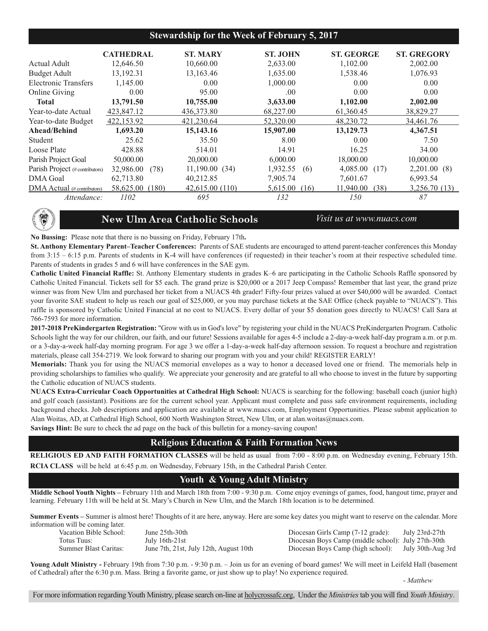## **Stewardship for the Week of February 5, 2017**

|                                | <b>CATHEDRAL</b>   | <b>ST. MARY</b> | <b>ST. JOHN</b>  | <b>ST. GEORGE</b> | <b>ST. GREGORY</b> |
|--------------------------------|--------------------|-----------------|------------------|-------------------|--------------------|
| Actual Adult                   | 12,646.50          | 10,660.00       | 2,633.00         | 1,102.00          | 2,002.00           |
| <b>Budget Adult</b>            | 13,192.31          | 13,163.46       | 1,635.00         | 1,538.46          | 1,076.93           |
| Electronic Transfers           | 1,145.00           | 0.00            | 1,000.00         | 0.00              | 0.00               |
| <b>Online Giving</b>           | 0.00               | 95.00           | .00              | 0.00              | 0.00               |
| <b>Total</b>                   | 13,791.50          | 10,755.00       | 3,633.00         | 1,102.00          | 2,002.00           |
| Year-to-date Actual            | 423,847.12         | 436,373.80      | 68,227.00        | 61,360.45         | 38,829.27          |
| Year-to-date Budget            | 422,153.92         | 421,230.64      | 52,320.00        | 48.230.72         | 34,461.76          |
| Ahead/Behind                   | 1,693.20           | 15,143.16       | 15,907.00        | 13,129.73         | 4,367.51           |
| Student                        | 25.62              | 35.50           | 8.00             | 0.00              | 7.50               |
| Loose Plate                    | 428.88             | 514.01          | 14.91            | 16.25             | 34.00              |
| Parish Project Goal            | 50,000.00          | 20,000.00       | 6,000.00         | 18,000.00         | 10,000.00          |
| Parish Project (#contributors) | 32,986.00<br>(78)  | 11,190.00 (34)  | 1,932.55<br>(6)  | 4,085.00<br>(17)  | 2,201.00(8)        |
| <b>DMA</b> Goal                | 62,713.80          | 40,212.85       | 7,905.74         | 7,601.67          | 6,993.54           |
| DMA Actual (# contributors)    | 58,625.00<br>(180) | 42,615.00 (110) | 5.615.00<br>(16) | 11.940.00<br>(38) | 3,256.70 (13)      |
| Attendance:                    | 1102               | 695             | 132              | 150               | 87                 |



## **New Ulm Area Catholic Schools** *Visit us at www.nuacs.com*

**No Bussing:** Please note that there is no bussing on Friday, February 17th**.**

**St. Anthony Elementary Parent–Teacher Conferences:** Parents of SAE students are encouraged to attend parent-teacher conferences this Monday from 3:15 – 6:15 p.m. Parents of students in K-4 will have conferences (if requested) in their teacher's room at their respective scheduled time. Parents of students in grades 5 and 6 will have conferences in the SAE gym.

**Catholic United Financial Raffle:** St. Anthony Elementary students in grades K–6 are participating in the Catholic Schools Raffle sponsored by Catholic United Financial. Tickets sell for \$5 each. The grand prize is \$20,000 or a 2017 Jeep Compass! Remember that last year, the grand prize winner was from New Ulm and purchased her ticket from a NUACS 4th grader! Fifty-four prizes valued at over \$40,000 will be awarded. Contact your favorite SAE student to help us reach our goal of \$25,000, or you may purchase tickets at the SAE Office (check payable to "NUACS"). This raffle is sponsored by Catholic United Financial at no cost to NUACS. Every dollar of your \$5 donation goes directly to NUACS! Call Sara at 766-7593 for more information.

**2017-2018 PreKindergarten Registration:** "Grow with us in God's love" by registering your child in the NUACS PreKindergarten Program. Catholic Schools light the way for our children, our faith, and our future! Sessions available for ages 4-5 include a 2-day-a-week half-day program a.m. or p.m. or a 3-day-a-week half-day morning program. For age 3 we offer a 1-day-a-week half-day afternoon session. To request a brochure and registration materials, please call 354-2719. We look forward to sharing our program with you and your child! REGISTER EARLY!

**Memorials:** Thank you for using the NUACS memorial envelopes as a way to honor a deceased loved one or friend. The memorials help in providing scholarships to families who qualify. We appreciate your generosity and are grateful to all who choose to invest in the future by supporting the Catholic education of NUACS students.

**NUACS Extra-Curricular Coach Opportunities at Cathedral High School:** NUACS is searching for the following: baseball coach (junior high) and golf coach (assistant). Positions are for the current school year. Applicant must complete and pass safe environment requirements, including background checks. Job descriptions and application are available at www.nuacs.com, Employment Opportunities. Please submit application to Alan Woitas, AD, at Cathedral High School, 600 North Washington Street, New Ulm, or at alan.woitas@nuacs.com. **Savings Hint:** Be sure to check the ad page on the back of this bulletin for a money-saving coupon!

## **Religious Education & Faith Formation News**

**RELIGIOUS ED AND FAITH FORMATION CLASSES** will be held as usual from 7:00 - 8:00 p.m. on Wednesday evening, February 15th. **RCIA CLASS** will be held at 6:45 p.m. on Wednesday, February 15th, in the Cathedral Parish Center.

## **Youth & Young Adult Ministry**

**Middle School Youth Nights –** February 11th and March 18th from 7:00 - 9:30 p.m. Come enjoy evenings of games, food, hangout time, prayer and learning. February 11th will be held at St. Mary's Church in New Ulm, and the March 18th location is to be determined.

**Summer Events –** Summer is almost here! Thoughts of it are here, anyway. Here are some key dates you might want to reserve on the calendar. More information will be coming later.

Vacation Bible School: June 25th-30th Diocesan Girls Camp (7-12 grade): July 23rd-27th Totus Tuus: July 16th-21st Diocesan Boys Camp (middle school): July 27th-30th Summer Blast Caritas: June 7th, 21st, July 12th, August 10th Diocesan Boys Camp (high school): July 30th-Aug 3rd

**Young Adult Ministry -** February 19th from 7:30 p.m. - 9:30 p.m. – Join us for an evening of board games! We will meet in Leifeld Hall (basement of Cathedral) after the 6:30 p.m. Mass. Bring a favorite game, or just show up to play! No experience required.

- *Matthew*

For more information regarding Youth Ministry, please search on-line at holycrossafc.org, Under the *Ministries*tab you will find *Youth Ministry*.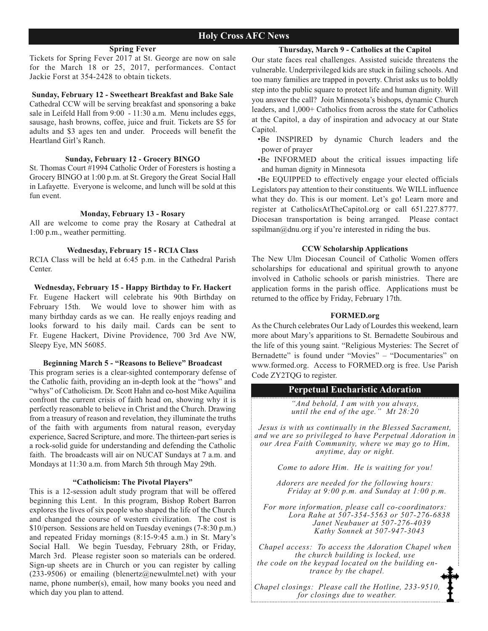#### **Spring Fever**

Tickets for Spring Fever 2017 at St. George are now on sale for the March 18 or 25, 2017, performances. Contact Jackie Forst at 354-2428 to obtain tickets.

#### **Sunday, February 12 - Sweetheart Breakfast and Bake Sale**

Cathedral CCW will be serving breakfast and sponsoring a bake sale in Leifeld Hall from 9:00 - 11:30 a.m. Menu includes eggs, sausage, hash browns, coffee, juice and fruit. Tickets are \$5 for adults and \$3 ages ten and under. Proceeds will benefit the Heartland Girl's Ranch.

#### **Sunday, February 12 - Grocery BINGO**

St. Thomas Court #1994 Catholic Order of Foresters is hosting a Grocery BINGO at 1:00 p.m. at St. Gregory the Great Social Hall in Lafayette. Everyone is welcome, and lunch will be sold at this fun event.

#### **Monday, February 13 - Rosary**

All are welcome to come pray the Rosary at Cathedral at 1:00 p.m., weather permitting.

#### **Wednesday, February 15 - RCIA Class**

RCIA Class will be held at 6:45 p.m. in the Cathedral Parish Center.

#### **Wednesday, February 15 - Happy Birthday to Fr. Hackert**

Fr. Eugene Hackert will celebrate his 90th Birthday on February 15th. We would love to shower him with as many birthday cards as we can. He really enjoys reading and looks forward to his daily mail. Cards can be sent to Fr. Eugene Hackert, Divine Providence, 700 3rd Ave NW, Sleepy Eye, MN 56085.

#### **Beginning March 5 - "Reasons to Believe" Broadcast**

This program series is a clear-sighted contemporary defense of the Catholic faith, providing an in-depth look at the "hows" and "whys" of Catholicism. Dr. Scott Hahn and co-host Mike Aquilina confront the current crisis of faith head on, showing why it is perfectly reasonable to believe in Christ and the Church. Drawing from a treasury of reason and revelation, they illuminate the truths of the faith with arguments from natural reason, everyday experience, Sacred Scripture, and more. The thirteen-part series is a rock-solid guide for understanding and defending the Catholic faith. The broadcasts will air on NUCAT Sundays at 7 a.m. and Mondays at 11:30 a.m. from March 5th through May 29th.

#### **"Catholicism: The Pivotal Players"**

This is a 12-session adult study program that will be offered beginning this Lent. In this program, Bishop Robert Barron explores the lives of six people who shaped the life of the Church and changed the course of western civilization. The cost is \$10/person. Sessions are held on Tuesday evenings (7-8:30 p.m.) and repeated Friday mornings (8:15-9:45 a.m.) in St. Mary's Social Hall. We begin Tuesday, February 28th, or Friday, March 3rd. Please register soon so materials can be ordered. Sign-up sheets are in Church or you can register by calling  $(233-9506)$  or emailing (blenertz@newulmtel.net) with your name, phone number(s), email, how many books you need and which day you plan to attend.

Our state faces real challenges. Assisted suicide threatens the vulnerable. Underprivileged kids are stuck in failing schools. And too many families are trapped in poverty. Christ asks us to boldly step into the public square to protect life and human dignity. Will you answer the call? Join Minnesota's bishops, dynamic Church leaders, and 1,000+ Catholics from across the state for Catholics at the Capitol, a day of inspiration and advocacy at our State Capitol.

- •Be INSPIRED by dynamic Church leaders and the power of prayer
- •Be INFORMED about the critical issues impacting life and human dignity in Minnesota

•Be EQUIPPED to effectively engage your elected officials Legislators pay attention to their constituents. We WILL influence what they do. This is our moment. Let's go! Learn more and register at CatholicsAtTheCapitol.org or call 651.227.8777. Diocesan transportation is being arranged. Please contact sspilman@dnu.org if you're interested in riding the bus.

#### **CCW Scholarship Applications**

The New Ulm Diocesan Council of Catholic Women offers scholarships for educational and spiritual growth to anyone involved in Catholic schools or parish ministries. There are application forms in the parish office. Applications must be returned to the office by Friday, February 17th.

#### **FORMED.org**

As the Church celebrates Our Lady of Lourdes this weekend, learn more about Mary's apparitions to St. Bernadette Soubirous and the life of this young saint. "Religious Mysteries: The Secret of Bernadette" is found under "Movies" – "Documentaries" on www.formed.org. Access to FORMED.org is free. Use Parish Code ZY2TQG to register.

## **Perpetual Eucharistic Adoration**

*"And behold, I am with you always, until the end of the age." Mt 28:20*

*Jesus is with us continually in the Blessed Sacrament, and we are so privileged to have Perpetual Adoration in our Area Faith Community, where we may go to Him, anytime, day or night.* 

*Come to adore Him. He is waiting for you!*

*Adorers are needed for the following hours: Friday at 9:00 p.m. and Sunday at 1:00 p.m.*

*For more information, please call co-coordinators: Lora Rahe at 507-354-5563 or 507-276-6838 Janet Neubauer at 507-276-4039 Kathy Sonnek at 507-947-3043*

*Chapel access: To access the Adoration Chapel when the church building is locked, use the code on the keypad located on the building entrance by the chapel.*

*Chapel closings: Please call the Hotline, 233-9510, for closings due to weather.*

#### **Thursday, March 9 - Catholics at the Capitol**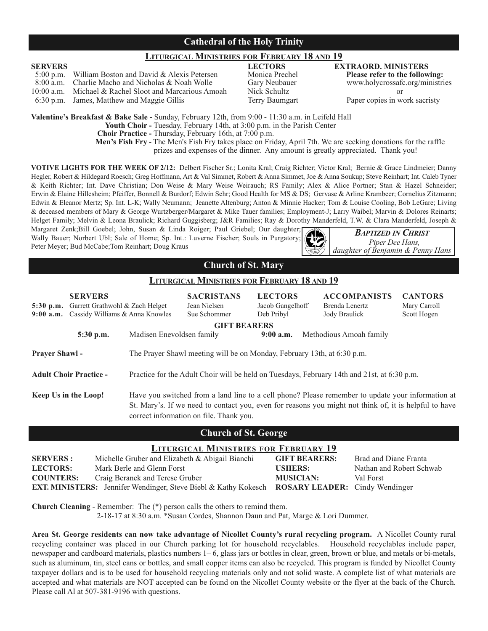## **Cathedral of the Holy Trinity**

## **LITURGICAL MINISTRIES FOR FEBRUARY 18 AND 19**

**SERVERS** LECTORS LEGENERS LEGENERS LEGENERS LEGENERS LEGENERS EXTRAORD. MINISTERS 5:00 p.m. William Boston and David & Alexis Petersen Monica Prechel Please refer to the following: 5:00 p.m. William Boston and David & Alexis Petersen Monica Prechel **Please refer to the following:** 8:00 Charlie Macho and Nicholas & Noah Wolle Gary Neubau<br>Michael & Rachel Sloot and Marcarious Amoah Nick Schultz 10:00 a.m. Michael & Rachel Sloot and Marcarious Amoah Nick Schultz or 6:30 p.m. James, Matthew and Maggie Gillis Terry Baumgart Paper copies in work sacristy

**Valentine's Breakfast & Bake Sale -** Sunday, February 12th, from 9:00 - 11:30 a.m. in Leifeld Hall

**Youth Choir -** Tuesday, February 14th, at 3:00 p.m. in the Parish Center

**Choir Practice -** Thursday, February 16th, at 7:00 p.m.

**Men's Fish Fry -** The Men's Fish Fry takes place on Friday, April 7th. We are seeking donations for the raffle prizes and expenses of the dinner. Any amount is greatly appreciated. Thank you!

**VOTIVE LIGHTS FOR THE WEEK OF 2/12:** Delbert Fischer Sr.; Lonita Kral; Craig Richter; Victor Kral; Bernie & Grace Lindmeier; Danny Hegler, Robert & Hildegard Roesch; Greg Hoffmann, Art & Val Simmet, Robert & Anna Simmet, Joe & Anna Soukup; Steve Reinhart; Int. Caleb Tyner & Keith Richter; Int. Dave Christian; Don Weise & Mary Weise Weirauch; RS Family; Alex & Alice Portner; Stan & Hazel Schneider; Erwin & Elaine Hillesheim; Pfeiffer, Bonnell & Burdorf; Edwin Sehr; Good Health for MS & DS; Gervase & Arline Krambeer; Cornelius Zitzmann; Edwin & Eleanor Mertz; Sp. Int. L-K; Wally Neumann; Jeanette Altenburg; Anton & Minnie Hacker; Tom & Louise Cooling, Bob LeGare; Living & deceased members of Mary & George Wurtzberger/Margaret & Mike Tauer families; Employment-J; Larry Waibel; Marvin & Dolores Reinarts; Helget Family; Melvin & Leona Braulick; Richard Guggisberg; J&R Families; Ray & Dorothy Manderfeld, T.W. & Clara Manderfeld, Joseph &

Margaret Zenk;Bill Goebel; John, Susan & Linda Roiger; Paul Griebel; Our daughter; Wally Bauer; Norbert Ubl; Sale of Home; Sp. Int.: Luverne Fischer; Souls in Purgatory; Peter Meyer; Bud McCabe;Tom Reinhart; Doug Kraus



*BAPTIZED IN CHRIST Piper Dee Hans, daughter of Benjamin & Penny Hans*

## **Church of St. Mary**

#### **LITURGICAL MINISTRIES FOR FEBRUARY 18 AND 19**

| $5:30$ p.m.<br>$9:00$ a.m.                                                                              | <b>SERVERS</b><br>Garrett Grathwohl & Zach Helget<br>Cassidy Williams & Anna Knowles |                                                                                                                                                                                                                                                       | <b>SACRISTANS</b><br>Jean Nielsen<br>Sue Schommer                       | <b>LECTORS</b><br>Jacob Gangelhoff<br>Deb Pribyl | <b>ACCOMPANISTS</b><br>Brenda Lenertz<br><b>Jody Braulick</b>                               | <b>CANTORS</b><br>Mary Carroll<br>Scott Hogen |
|---------------------------------------------------------------------------------------------------------|--------------------------------------------------------------------------------------|-------------------------------------------------------------------------------------------------------------------------------------------------------------------------------------------------------------------------------------------------------|-------------------------------------------------------------------------|--------------------------------------------------|---------------------------------------------------------------------------------------------|-----------------------------------------------|
| <b>GIFT BEARERS</b><br>5:30 p.m.<br>Madisen Enevoldsen family<br>$9:00$ a.m.<br>Methodious Amoah family |                                                                                      |                                                                                                                                                                                                                                                       |                                                                         |                                                  |                                                                                             |                                               |
| <b>Prayer Shawl -</b>                                                                                   |                                                                                      |                                                                                                                                                                                                                                                       | The Prayer Shawl meeting will be on Monday, February 13th, at 6:30 p.m. |                                                  |                                                                                             |                                               |
|                                                                                                         | <b>Adult Choir Practice -</b>                                                        |                                                                                                                                                                                                                                                       |                                                                         |                                                  | Practice for the Adult Choir will be held on Tuesdays, February 14th and 21st, at 6:30 p.m. |                                               |
| Keep Us in the Loop!                                                                                    |                                                                                      | Have you switched from a land line to a cell phone? Please remember to update your information at<br>St. Mary's. If we need to contact you, even for reasons you might not think of, it is helpful to have<br>correct information on file. Thank you. |                                                                         |                                                  |                                                                                             |                                               |

#### **Church of St. George**

## **LITURGICAL MINISTRIES FOR FEBRUARY 19**

| <b>SERVERS:</b>  | Michelle Gruber and Elizabeth & Abigail Bianchi                                                              | <b>GIFT BEARERS:</b> | Brad and Diane Franta    |
|------------------|--------------------------------------------------------------------------------------------------------------|----------------------|--------------------------|
| <b>LECTORS:</b>  | Mark Berle and Glenn Forst                                                                                   | <b>USHERS:</b>       | Nathan and Robert Schwab |
| <b>COUNTERS:</b> | Craig Beranek and Terese Gruber                                                                              | <b>MUSICIAN:</b>     | Val Forst                |
|                  | <b>EXT. MINISTERS:</b> Jennifer Wendinger, Steve Biebl & Kathy Kokesch <b>ROSARY LEADER:</b> Cindy Wendinger |                      |                          |

**Church Cleaning** - Remember: The (\*) person calls the others to remind them.

2-18-17 at 8:30 a.m. \*Susan Cordes, Shannon Daun and Pat, Marge & Lori Dummer.

**Area St. George residents can now take advantage of Nicollet County's rural recycling program.** A Nicollet County rural recycling container was placed in our Church parking lot for household recyclables. Household recyclables include paper, newspaper and cardboard materials, plastics numbers 1– 6, glass jars or bottles in clear, green, brown or blue, and metals or bi-metals, such as aluminum, tin, steel cans or bottles, and small copper items can also be recycled. This program is funded by Nicollet County taxpayer dollars and is to be used for household recycling materials only and not solid waste. A complete list of what materials are accepted and what materials are NOT accepted can be found on the Nicollet County website or the flyer at the back of the Church. Please call Al at 507-381-9196 with questions.